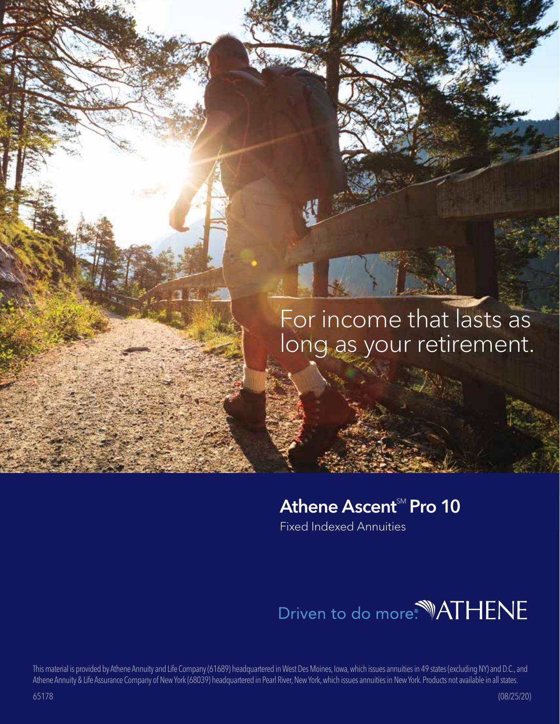## For income that lasts as long as your retirement.

### Athene Ascent<sup>™</sup> Pro 10

Fixed Indexed Annuities

## Driven to do more.<sup>4</sup> ATHENE

This material is provided by Athene Annuity and Life Company (61689) headquartered in West Des Moines, Iowa, which issues annuities in 49 states (excluding NY) and D.C., and Athene Annuity & Life Assurance Company of New York (68039) headquartered in Pearl River, New York, which issues annuities in New York. Products not available in all states.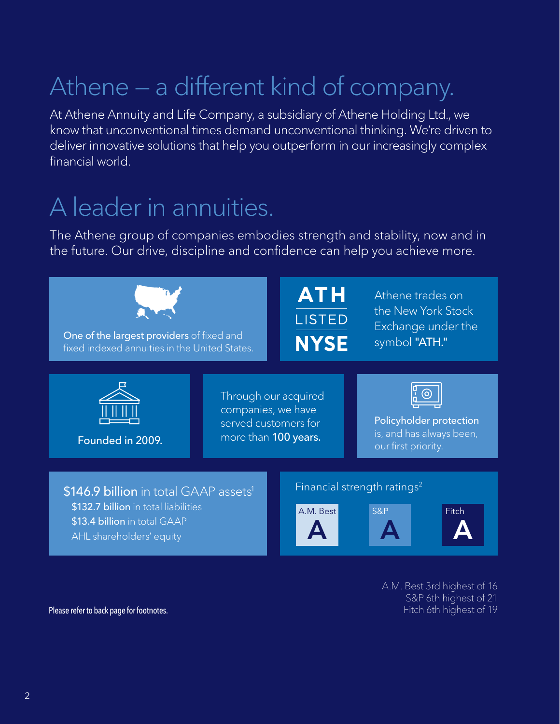## Athene — a different kind of company.

At Athene Annuity and Life Company, a subsidiary of Athene Holding Ltd., we know that unconventional times demand unconventional thinking. We're driven to deliver innovative solutions that help you outperform in our increasingly complex financial world.

## A leader in annuities.

The Athene group of companies embodies strength and stability, now and in the future. Our drive, discipline and confidence can help you achieve more.



A.M. Best 3rd highest of 16 S&P 6th highest of 21 Fitch 6th highest of 19

Please refer to back page for footnotes.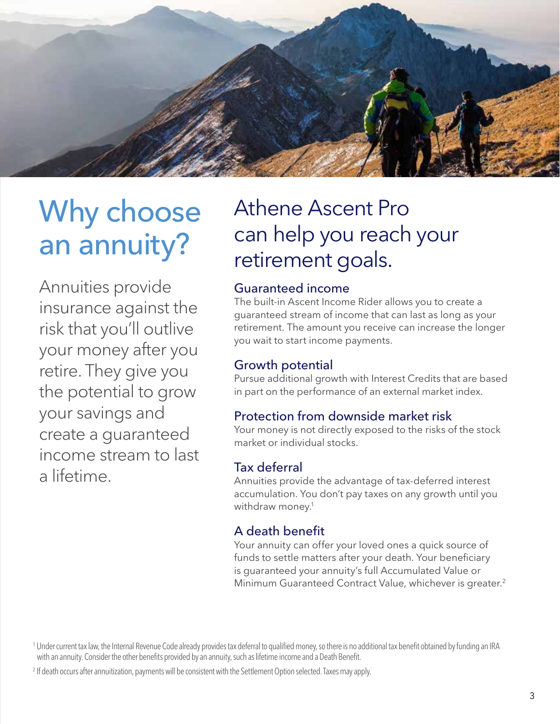

# Why choose an annuity?

Annuities provide insurance against the risk that you'll outlive your money after you retire. They give you the potential to grow your savings and create a guaranteed income stream to last a lifetime.

### Athene Ascent Pro can help you reach your retirement goals.

#### Guaranteed income

The built-in Ascent Income Rider allows you to create a guaranteed stream of income that can last as long as your retirement. The amount you receive can increase the longer you wait to start income payments.

#### Growth potential

Pursue additional growth with Interest Credits that are based in part on the performance of an external market index.

#### Protection from downside market risk

Your money is not directly exposed to the risks of the stock market or individual stocks.

#### Tax deferral

Annuities provide the advantage of tax-deferred interest accumulation. You don't pay taxes on any growth until you withdraw money.<sup>1</sup>

#### A death benefit

Your annuity can offer your loved ones a quick source of funds to settle matters after your death. Your beneficiary is guaranteed your annuity's full Accumulated Value or Minimum Guaranteed Contract Value, whichever is greater.2

<sup>1</sup> Under current tax law, the Internal Revenue Code already provides tax deferral to qualified money, so there is no additional tax benefit obtained by funding an IRA with an annuity. Consider the other benefits provided by an annuity, such as lifetime income and a Death Benefit.

<sup>2</sup> If death occurs after annuitization, payments will be consistent with the Settlement Option selected. Taxes may apply.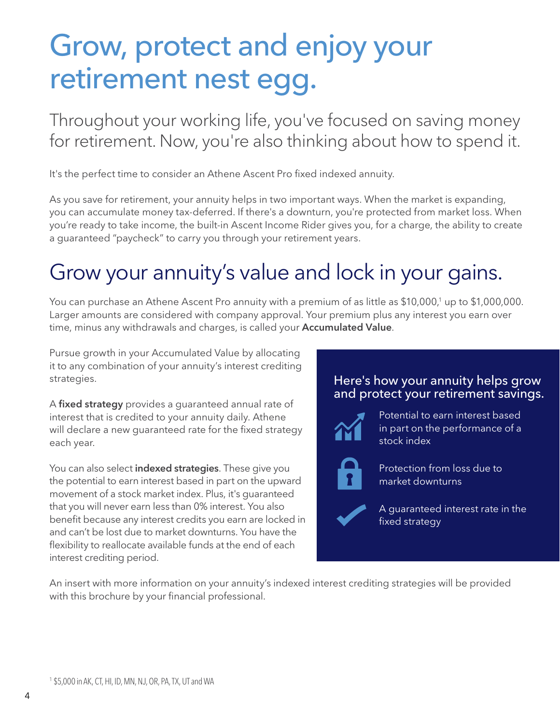# Grow, protect and enjoy your retirement nest egg.

Throughout your working life, you've focused on saving money for retirement. Now, you're also thinking about how to spend it.

It's the perfect time to consider an Athene Ascent Pro fixed indexed annuity.

As you save for retirement, your annuity helps in two important ways. When the market is expanding, you can accumulate money tax-deferred. If there's a downturn, you're protected from market loss. When you're ready to take income, the built-in Ascent Income Rider gives you, for a charge, the ability to create a guaranteed "paycheck" to carry you through your retirement years.

## Grow your annuity's value and lock in your gains.

You can purchase an Athene Ascent Pro annuity with a premium of as little as \$10,000,<sup>1</sup> up to \$1,000,000. Larger amounts are considered with company approval. Your premium plus any interest you earn over time, minus any withdrawals and charges, is called your **Accumulated Value**.

Pursue growth in your Accumulated Value by allocating it to any combination of your annuity's interest crediting strategies.

A fixed strategy provides a quaranteed annual rate of interest that is credited to your annuity daily. Athene will declare a new guaranteed rate for the fixed strategy each year.

You can also select **indexed strategies**. These give you the potential to earn interest based in part on the upward movement of a stock market index. Plus, it's guaranteed that you will never earn less than 0% interest. You also benefit because any interest credits you earn are locked in and can't be lost due to market downturns. You have the flexibility to reallocate available funds at the end of each interest crediting period.

#### Here's how your annuity helps grow and protect your retirement savings.



Potential to earn interest based in part on the performance of a stock index



Protection from loss due to market downturns



A guaranteed interest rate in the fixed strategy

An insert with more information on your annuity's indexed interest crediting strategies will be provided with this brochure by your financial professional.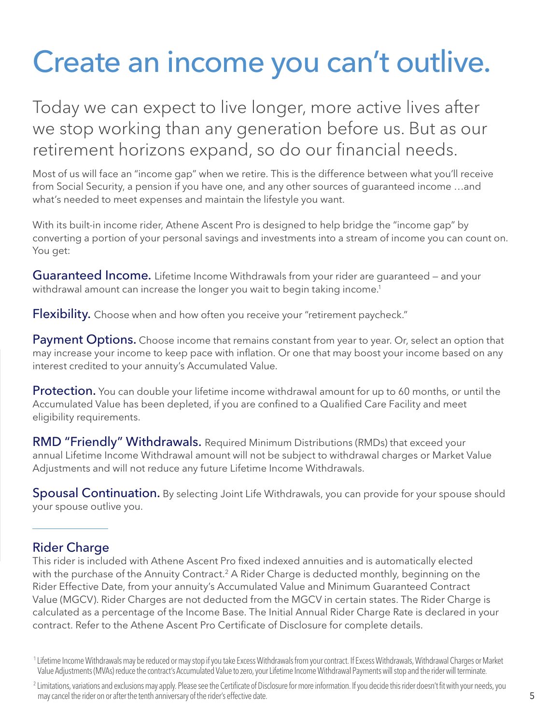# Create an income you can't outlive.

Today we can expect to live longer, more active lives after we stop working than any generation before us. But as our retirement horizons expand, so do our financial needs.

Most of us will face an "income gap" when we retire. This is the difference between what you'll receive from Social Security, a pension if you have one, and any other sources of guaranteed income …and what's needed to meet expenses and maintain the lifestyle you want.

With its built-in income rider, Athene Ascent Pro is designed to help bridge the "income gap" by converting a portion of your personal savings and investments into a stream of income you can count on. You get:

**Guaranteed Income.** Lifetime Income Withdrawals from your rider are guaranteed – and your withdrawal amount can increase the longer you wait to begin taking income.<sup>1</sup>

**Flexibility.** Choose when and how often you receive your "retirement paycheck."

**Payment Options.** Choose income that remains constant from year to year. Or, select an option that may increase your income to keep pace with inflation. Or one that may boost your income based on any interest credited to your annuity's Accumulated Value.

**Protection.** You can double your lifetime income withdrawal amount for up to 60 months, or until the Accumulated Value has been depleted, if you are confined to a Qualified Care Facility and meet eligibility requirements.

RMD "Friendly" Withdrawals. Required Minimum Distributions (RMDs) that exceed your annual Lifetime Income Withdrawal amount will not be subject to withdrawal charges or Market Value Adjustments and will not reduce any future Lifetime Income Withdrawals.

**Spousal Continuation.** By selecting Joint Life Withdrawals, you can provide for your spouse should your spouse outlive you.

#### Rider Charge

This rider is included with Athene Ascent Pro fixed indexed annuities and is automatically elected with the purchase of the Annuity Contract.<sup>2</sup> A Rider Charge is deducted monthly, beginning on the Rider Effective Date, from your annuity's Accumulated Value and Minimum Guaranteed Contract Value (MGCV). Rider Charges are not deducted from the MGCV in certain states. The Rider Charge is calculated as a percentage of the Income Base. The Initial Annual Rider Charge Rate is declared in your contract. Refer to the Athene Ascent Pro Certificate of Disclosure for complete details.

<sup>1</sup> Lifetime Income Withdrawals may be reduced or may stop if you take Excess Withdrawals from your contract. If Excess Withdrawals, Withdrawal Charges or Market Value Adjustments (MVAs) reduce the contract's Accumulated Value to zero, your Lifetime Income Withdrawal Payments will stop and the rider will terminate.

<sup>2</sup> Limitations, variations and exclusions may apply. Please see the Certificate of Disclosure for more information. If you decide this rider doesn't fit with your needs, you may cancel the rider on or after the tenth anniversary of the rider's effective date.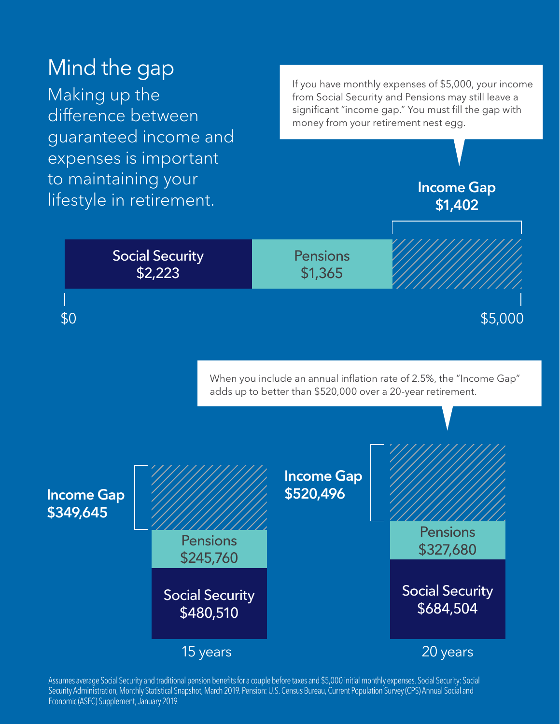### Mind the gap

Making up the difference between guaranteed income and expenses is important

If you have monthly expenses of \$5,000, your income from Social Security and Pensions may still leave a significant "income gap." You must fill the gap with money from your retirement nest egg.



Assumes average Social Security and traditional pension benefits for a couple before taxes and \$5,000 initial monthly expenses. Social Security: Social Security Administration, Monthly Statistical Snapshot, March 2019. Pension: U.S. Census Bureau, Current Population Survey (CPS) Annual Social and Economic (ASEC) Supplement, January 2019.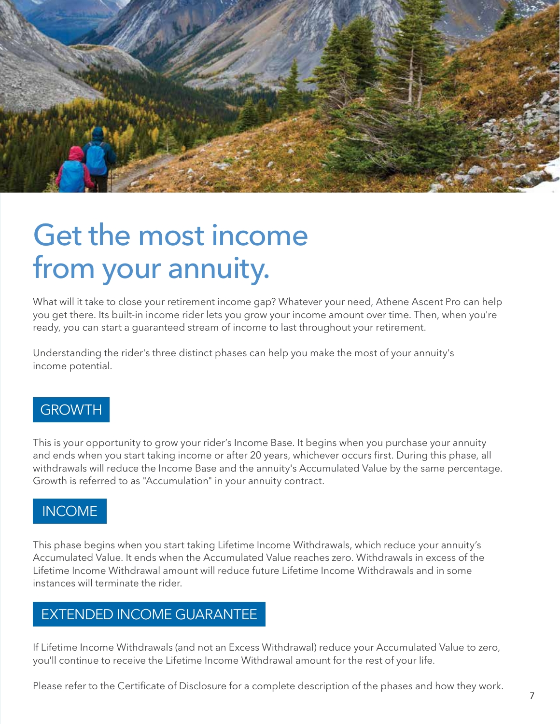

# Get the most income from your annuity.

What will it take to close your retirement income gap? Whatever your need, Athene Ascent Pro can help you get there. Its built-in income rider lets you grow your income amount over time. Then, when you're ready, you can start a guaranteed stream of income to last throughout your retirement.

Understanding the rider's three distinct phases can help you make the most of your annuity's income potential.

#### **GROWTH**

This is your opportunity to grow your rider's Income Base. It begins when you purchase your annuity and ends when you start taking income or after 20 years, whichever occurs first. During this phase, all withdrawals will reduce the Income Base and the annuity's Accumulated Value by the same percentage. Growth is referred to as "Accumulation" in your annuity contract.

#### INCOME

This phase begins when you start taking Lifetime Income Withdrawals, which reduce your annuity's Accumulated Value. It ends when the Accumulated Value reaches zero. Withdrawals in excess of the Lifetime Income Withdrawal amount will reduce future Lifetime Income Withdrawals and in some instances will terminate the rider.

#### EXTENDED INCOME GUARANTEE

If Lifetime Income Withdrawals (and not an Excess Withdrawal) reduce your Accumulated Value to zero, you'll continue to receive the Lifetime Income Withdrawal amount for the rest of your life.

Please refer to the Certificate of Disclosure for a complete description of the phases and how they work.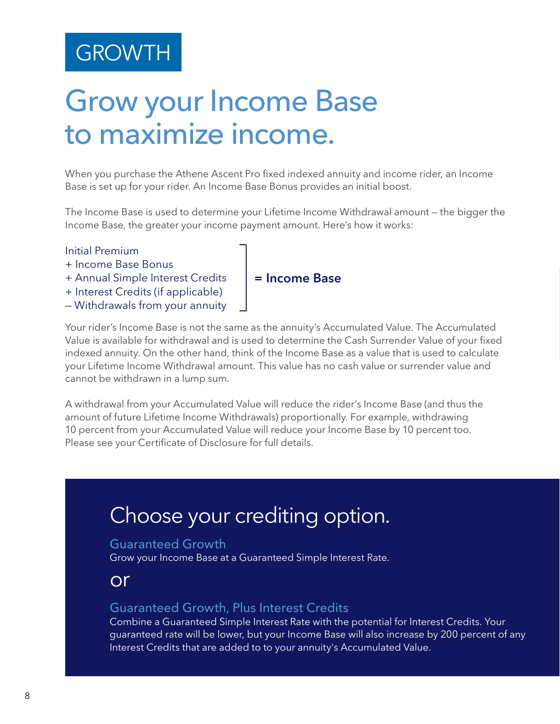## **GROWTH**

# Grow your Income Base to maximize income.

When you purchase the Athene Ascent Pro fixed indexed annuity and income rider, an Income Base is set up for your rider. An Income Base Bonus provides an initial boost.

The Income Base is used to determine your Lifetime Income Withdrawal amount — the bigger the Income Base, the greater your income payment amount. Here's how it works:

#### Initial Premium

- + Income Base Bonus
- + Annual Simple Interest Credits
- + Interest Credits (if applicable)
- Withdrawals from your annuity
- = Income Base

Your rider's Income Base is not the same as the annuity's Accumulated Value. The Accumulated Value is available for withdrawal and is used to determine the Cash Surrender Value of your fixed indexed annuity. On the other hand, think of the Income Base as a value that is used to calculate your Lifetime Income Withdrawal amount. This value has no cash value or surrender value and cannot be withdrawn in a lump sum.

A withdrawal from your Accumulated Value will reduce the rider's Income Base (and thus the amount of future Lifetime Income Withdrawals) proportionally. For example, withdrawing 10 percent from your Accumulated Value will reduce your Income Base by 10 percent too. Please see your Certificate of Disclosure for full details.

### Choose your crediting option.

#### Guaranteed Growth

Grow your Income Base at a Guaranteed Simple Interest Rate.

#### or

#### Guaranteed Growth, Plus Interest Credits

Combine a Guaranteed Simple Interest Rate with the potential for Interest Credits. Your guaranteed rate will be lower, but your Income Base will also increase by 200 percent of any Interest Credits that are added to to your annuity's Accumulated Value.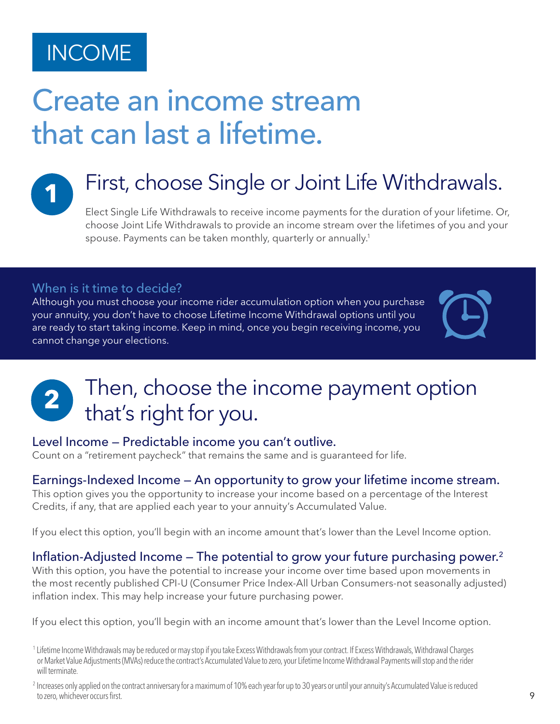### INCOME

# Create an income stream that can last a lifetime.



## First, choose Single or Joint Life Withdrawals.

Elect Single Life Withdrawals to receive income payments for the duration of your lifetime. Or, choose Joint Life Withdrawals to provide an income stream over the lifetimes of you and your spouse. Payments can be taken monthly, quarterly or annually.<sup>1</sup>

#### When is it time to decide?

Although you must choose your income rider accumulation option when you purchase your annuity, you don't have to choose Lifetime Income Withdrawal options until you are ready to start taking income. Keep in mind, once you begin receiving income, you cannot change your elections.



#### Then, choose the income payment option  $\overline{2}$ that's right for you.

#### Level Income — Predictable income you can't outlive.

Count on a "retirement paycheck" that remains the same and is guaranteed for life.

#### Earnings-Indexed Income — An opportunity to grow your lifetime income stream.

This option gives you the opportunity to increase your income based on a percentage of the Interest Credits, if any, that are applied each year to your annuity's Accumulated Value.

If you elect this option, you'll begin with an income amount that's lower than the Level Income option.

#### Inflation-Adjusted Income  $-$  The potential to grow your future purchasing power.<sup>2</sup>

With this option, you have the potential to increase your income over time based upon movements in the most recently published CPI-U (Consumer Price Index-All Urban Consumers-not seasonally adjusted) inflation index. This may help increase your future purchasing power.

If you elect this option, you'll begin with an income amount that's lower than the Level Income option.

2 Increases only applied on the contract anniversary for a maximum of 10% each year for up to 30 years or until your annuity's Accumulated Value is reduced to zero, whichever occurs first.

<sup>1</sup> Lifetime Income Withdrawals may be reduced or may stop if you take Excess Withdrawals from your contract. If Excess Withdrawals, Withdrawal Charges or Market Value Adjustments (MVAs) reduce the contract's Accumulated Value to zero, your Lifetime Income Withdrawal Payments will stop and the rider will terminate.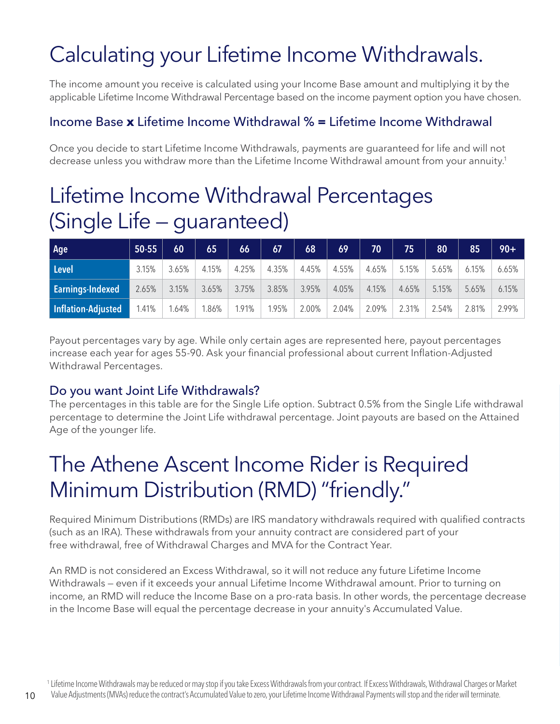## Calculating your Lifetime Income Withdrawals.

The income amount you receive is calculated using your Income Base amount and multiplying it by the applicable Lifetime Income Withdrawal Percentage based on the income payment option you have chosen.

#### Income Base **x** Lifetime Income Withdrawal % **=** Lifetime Income Withdrawal

Once you decide to start Lifetime Income Withdrawals, payments are guaranteed for life and will not decrease unless you withdraw more than the Lifetime Income Withdrawal amount from your annuity.<sup>1</sup>

### Lifetime Income Withdrawal Percentages (Single Life — guaranteed)

| Age                | 50-55 | 60    | 65    | 66    | 67    | 68    | 69    | 70    | 75    | 80    | 85    | $90+$ |
|--------------------|-------|-------|-------|-------|-------|-------|-------|-------|-------|-------|-------|-------|
| Level              | 3.15% | 3.65% | 4.15% | 4.25% | 4.35% | 4.45% | 4.55% | 4.65% | 5.15% | 5.65% | 6.15% | 6.65% |
| Earnings-Indexed   | 2.65% | 3.15% | 3.65% | 3.75% | 3.85% | 3.95% | 4.05% | 4.15% | 4.65% | 5.15% | 5.65% | 6.15% |
| Inflation-Adjusted | 1.41% | .64%  | 1.86% | 1.91% | 1.95% | 2.00% | 2.04% | 2.09% | 2.31% | 2.54% | 2.81% | 2.99% |

Payout percentages vary by age. While only certain ages are represented here, payout percentages increase each year for ages 55-90. Ask your financial professional about current Inflation-Adjusted Withdrawal Percentages.

#### Do you want Joint Life Withdrawals?

10

The percentages in this table are for the Single Life option. Subtract 0.5% from the Single Life withdrawal percentage to determine the Joint Life withdrawal percentage. Joint payouts are based on the Attained Age of the younger life.

## The Athene Ascent Income Rider is Required Minimum Distribution (RMD) "friendly."

Required Minimum Distributions (RMDs) are IRS mandatory withdrawals required with qualified contracts (such as an IRA). These withdrawals from your annuity contract are considered part of your free withdrawal, free of Withdrawal Charges and MVA for the Contract Year.

An RMD is not considered an Excess Withdrawal, so it will not reduce any future Lifetime Income Withdrawals — even if it exceeds your annual Lifetime Income Withdrawal amount. Prior to turning on income, an RMD will reduce the Income Base on a pro-rata basis. In other words, the percentage decrease in the Income Base will equal the percentage decrease in your annuity's Accumulated Value.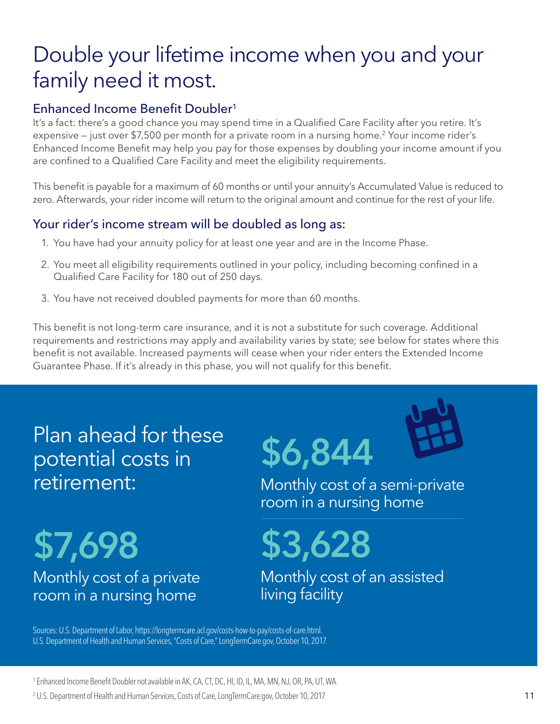### Double your lifetime income when you and your family need it most.

#### Enhanced Income Benefit Doubler<sup>1</sup>

It's a fact: there's a good chance you may spend time in a Qualified Care Facility after you retire. It's expensive – just over \$7,500 per month for a private room in a nursing home.<sup>2</sup> Your income rider's Enhanced Income Benefit may help you pay for those expenses by doubling your income amount if you are confined to a Qualified Care Facility and meet the eligibility requirements.

This benefit is payable for a maximum of 60 months or until your annuity's Accumulated Value is reduced to zero. Afterwards, your rider income will return to the original amount and continue for the rest of your life.

#### Your rider's income stream will be doubled as long as:

- 1. You have had your annuity policy for at least one year and are in the Income Phase.
- 2. You meet all eligibility requirements outlined in your policy, including becoming confined in a Qualified Care Facility for 180 out of 250 days.
- 3. You have not received doubled payments for more than 60 months.

This benefit is not long-term care insurance, and it is not a substitute for such coverage. Additional requirements and restrictions may apply and availability varies by state; see below for states where this benefit is not available. Increased payments will cease when your rider enters the Extended Income Guarantee Phase. If it's already in this phase, you will not qualify for this benefit.

Plan ahead for these potential costs in retirement:

\$6,844



Monthly cost of a semi-private room in a nursing home

\$7,698 Monthly cost of a private room in a nursing home

\$3,628 Monthly cost of an assisted living facility

Sources: U.S. Department of Labor, https://longtermcare.acl.gov/costs-how-to-pay/costs-of-care.html. U.S. Department of Health and Human Services, "Costs of Care," LongTermCare.gov, October 10, 2017.

1 Enhanced Income Benefit Doubler not available in AK, CA, CT, DC, HI, ID, IL, MA, MN, NJ, OR, PA, UT, WA.

2 U.S. Department of Health and Human Services, Costs of Care, LongTermCare.gov, October 10, 2017.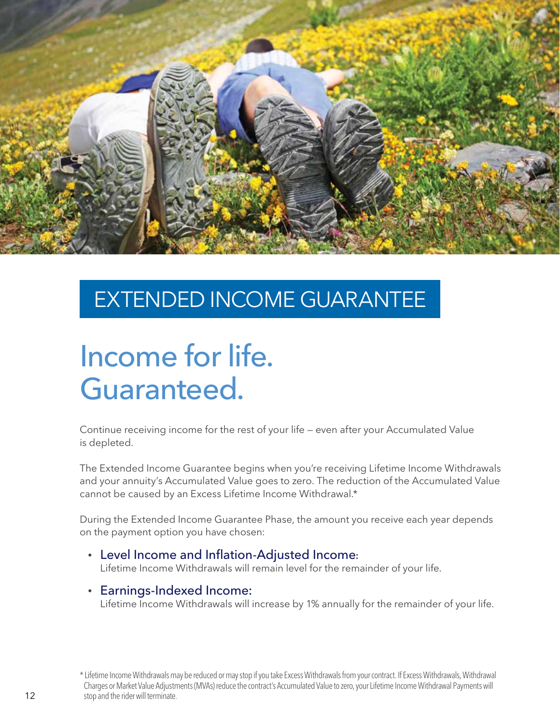

### EXTENDED INCOME GUARANTEE

# Income for life. Guaranteed.

Continue receiving income for the rest of your life — even after your Accumulated Value is depleted.

The Extended Income Guarantee begins when you're receiving Lifetime Income Withdrawals and your annuity's Accumulated Value goes to zero. The reduction of the Accumulated Value cannot be caused by an Excess Lifetime Income Withdrawal.\*

During the Extended Income Guarantee Phase, the amount you receive each year depends on the payment option you have chosen:

#### • Level Income and Inflation-Adjusted Income:

Lifetime Income Withdrawals will remain level for the remainder of your life.

#### • Earnings-Indexed Income:

Lifetime Income Withdrawals will increase by 1% annually for the remainder of your life.

<sup>\*</sup> Lifetime Income Withdrawals may be reduced or may stop if you take Excess Withdrawals from your contract. If Excess Withdrawals, Withdrawal Charges or Market Value Adjustments (MVAs) reduce the contract's Accumulated Value to zero, your Lifetime Income Withdrawal Payments will stop and the rider will terminate.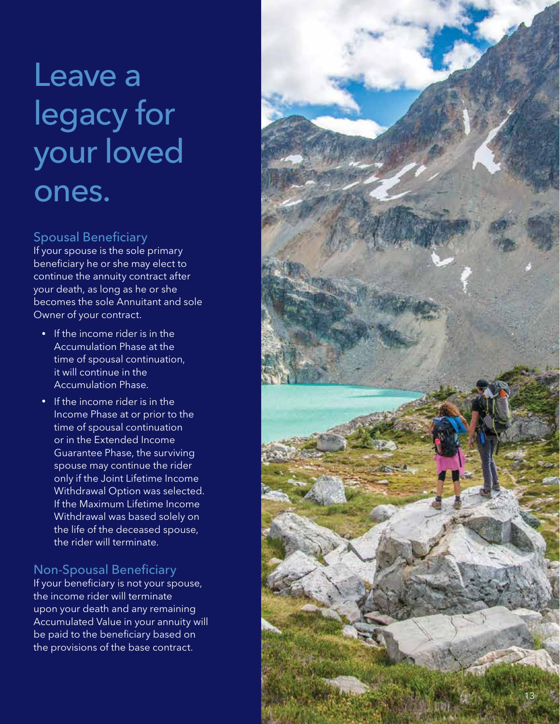# Leave a legacy for your loved ones.

#### Spousal Beneficiary

If your spouse is the sole primary beneficiary he or she may elect to continue the annuity contract after your death, as long as he or she becomes the sole Annuitant and sole Owner of your contract.

- If the income rider is in the Accumulation Phase at the time of spousal continuation, it will continue in the Accumulation Phase.
- If the income rider is in the Income Phase at or prior to the time of spousal continuation or in the Extended Income Guarantee Phase, the surviving spouse may continue the rider only if the Joint Lifetime Income Withdrawal Option was selected. If the Maximum Lifetime Income Withdrawal was based solely on the life of the deceased spouse, the rider will terminate.

#### Non-Spousal Beneficiary

If your beneficiary is not your spouse, the income rider will terminate upon your death and any remaining Accumulated Value in your annuity will be paid to the beneficiary based on the provisions of the base contract.

![](_page_12_Picture_7.jpeg)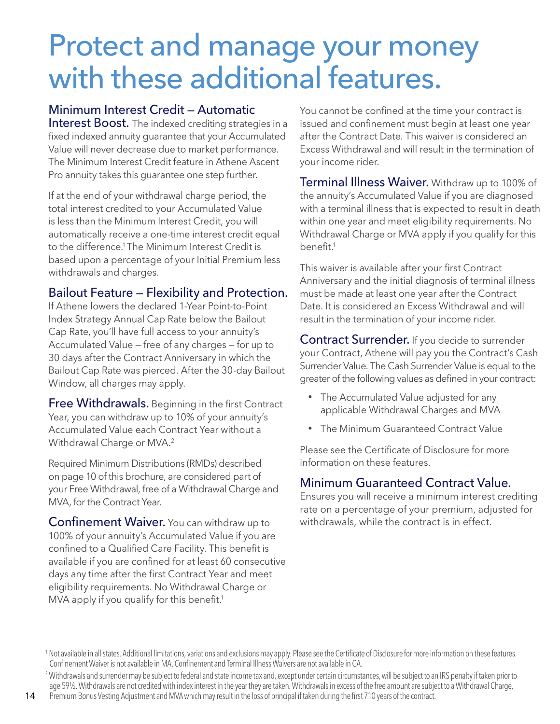# Protect and manage your money with these additional features.

#### Minimum Interest Credit — Automatic

Interest Boost. The indexed crediting strategies in a fixed indexed annuity guarantee that your Accumulated Value will never decrease due to market performance. The Minimum Interest Credit feature in Athene Ascent Pro annuity takes this guarantee one step further.

If at the end of your withdrawal charge period, the total interest credited to your Accumulated Value is less than the Minimum Interest Credit, you will automatically receive a one-time interest credit equal to the difference.<sup>1</sup> The Minimum Interest Credit is based upon a percentage of your Initial Premium less withdrawals and charges.

#### Bailout Feature — Flexibility and Protection.

If Athene lowers the declared 1-Year Point-to-Point Index Strategy Annual Cap Rate below the Bailout Cap Rate, you'll have full access to your annuity's Accumulated Value — free of any charges — for up to 30 days after the Contract Anniversary in which the Bailout Cap Rate was pierced. After the 30-day Bailout Window, all charges may apply.

**Free Withdrawals.** Beginning in the first Contract Year, you can withdraw up to 10% of your annuity's Accumulated Value each Contract Year without a Withdrawal Charge or MVA.<sup>2</sup>

Required Minimum Distributions (RMDs) described on page 10 of this brochure, are considered part of your Free Withdrawal, free of a Withdrawal Charge and MVA, for the Contract Year.

**Confinement Waiver.** You can withdraw up to 100% of your annuity's Accumulated Value if you are confined to a Qualified Care Facility. This benefit is available if you are confined for at least 60 consecutive days any time after the first Contract Year and meet eligibility requirements. No Withdrawal Charge or MVA apply if you qualify for this benefit.<sup>1</sup>

You cannot be confined at the time your contract is issued and confinement must begin at least one year after the Contract Date. This waiver is considered an Excess Withdrawal and will result in the termination of your income rider.

**Terminal Illness Waiver.** Withdraw up to 100% of the annuity's Accumulated Value if you are diagnosed with a terminal illness that is expected to result in death within one year and meet eligibility requirements. No Withdrawal Charge or MVA apply if you qualify for this benefit<sup>1</sup>

This waiver is available after your first Contract Anniversary and the initial diagnosis of terminal illness must be made at least one year after the Contract Date. It is considered an Excess Withdrawal and will result in the termination of your income rider.

**Contract Surrender.** If you decide to surrender your Contract, Athene will pay you the Contract's Cash Surrender Value. The Cash Surrender Value is equal to the greater of the following values as defined in your contract:

- The Accumulated Value adjusted for any applicable Withdrawal Charges and MVA
- The Minimum Guaranteed Contract Value

Please see the Certificate of Disclosure for more information on these features.

#### Minimum Guaranteed Contract Value.

Ensures you will receive a minimum interest crediting rate on a percentage of your premium, adjusted for withdrawals, while the contract is in effect.

<sup>&</sup>lt;sup>1</sup> Not available in all states. Additional limitations, variations and exclusions may apply. Please see the Certificate of Disclosure for more information on these features. Confinement Waiver is not available in MA. Confinement and Terminal Illness Waivers are not available in CA.

<sup>2</sup> Withdrawals and surrender may be subject to federal and state income tax and, except under certain circumstances, will be subject to an IRS penalty if taken prior to age 591/2. Withdrawals are not credited with index interest in the year they are taken. Withdrawals in excess of the free amount are subject to a Withdrawal Charge,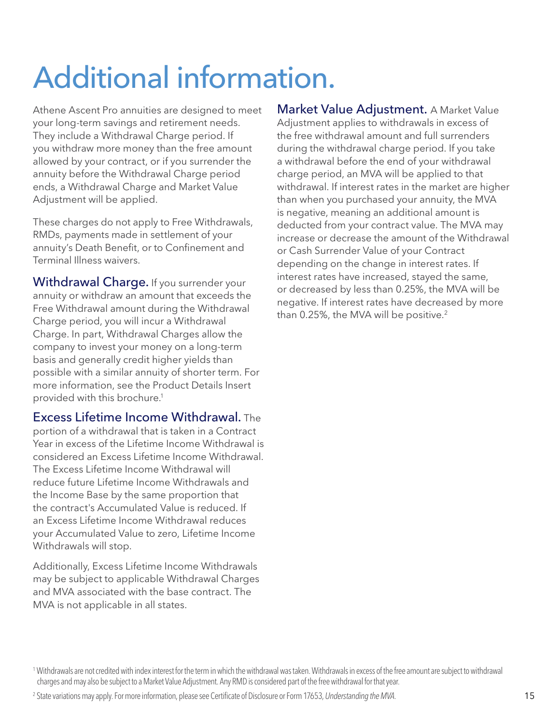# Additional information.

Athene Ascent Pro annuities are designed to meet your long-term savings and retirement needs. They include a Withdrawal Charge period. If you withdraw more money than the free amount allowed by your contract, or if you surrender the annuity before the Withdrawal Charge period ends, a Withdrawal Charge and Market Value Adjustment will be applied.

These charges do not apply to Free Withdrawals, RMDs, payments made in settlement of your annuity's Death Benefit, or to Confinement and Terminal Illness waivers.

Withdrawal Charge. If you surrender your annuity or withdraw an amount that exceeds the Free Withdrawal amount during the Withdrawal Charge period, you will incur a Withdrawal Charge. In part, Withdrawal Charges allow the company to invest your money on a long-term basis and generally credit higher yields than possible with a similar annuity of shorter term. For more information, see the Product Details Insert provided with this brochure.1

#### Excess Lifetime Income Withdrawal. The

portion of a withdrawal that is taken in a Contract Year in excess of the Lifetime Income Withdrawal is considered an Excess Lifetime Income Withdrawal. The Excess Lifetime Income Withdrawal will reduce future Lifetime Income Withdrawals and the Income Base by the same proportion that the contract's Accumulated Value is reduced. If an Excess Lifetime Income Withdrawal reduces your Accumulated Value to zero, Lifetime Income Withdrawals will stop.

Additionally, Excess Lifetime Income Withdrawals may be subject to applicable Withdrawal Charges and MVA associated with the base contract. The MVA is not applicable in all states.

**Market Value Adjustment.** A Market Value Adjustment applies to withdrawals in excess of the free withdrawal amount and full surrenders during the withdrawal charge period. If you take a withdrawal before the end of your withdrawal charge period, an MVA will be applied to that withdrawal. If interest rates in the market are higher than when you purchased your annuity, the MVA is negative, meaning an additional amount is deducted from your contract value. The MVA may increase or decrease the amount of the Withdrawal or Cash Surrender Value of your Contract depending on the change in interest rates. If interest rates have increased, stayed the same, or decreased by less than 0.25%, the MVA will be negative. If interest rates have decreased by more than 0.25%, the MVA will be positive.<sup>2</sup>

<sup>1</sup> Withdrawals are not credited with index interest for the term in which the withdrawal was taken. Withdrawals in excess of the free amount are subject to withdrawal charges and may also be subject to a Market Value Adjustment. Any RMD is considered part of the free withdrawal for that year.

<sup>2</sup> State variations may apply. For more information, please see Certificate of Disclosure or Form 17653, *Understanding the MVA*.